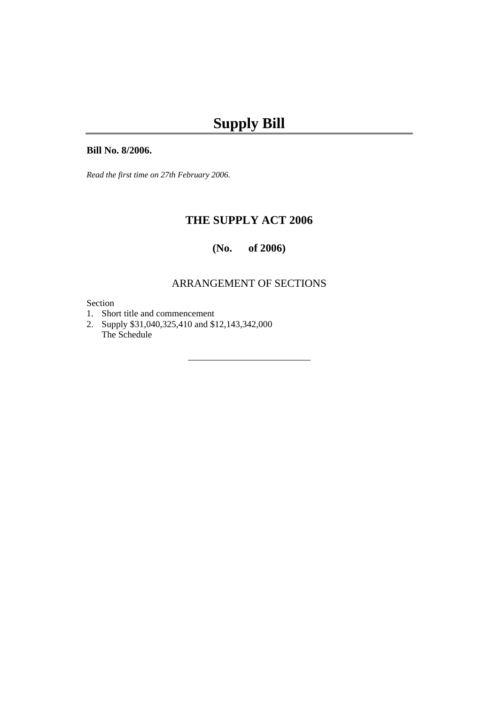#### **Bill No. 8/2006.**

*Read the first time on 27th February 2006.* 

# **THE SUPPLY ACT 2006**

### **(No. of 2006)**

## ARRANGEMENT OF SECTIONS

#### Section

- 1. Short title and commencement
- 2. Supply \$31,040,325,410 and \$12,143,342,000 The Schedule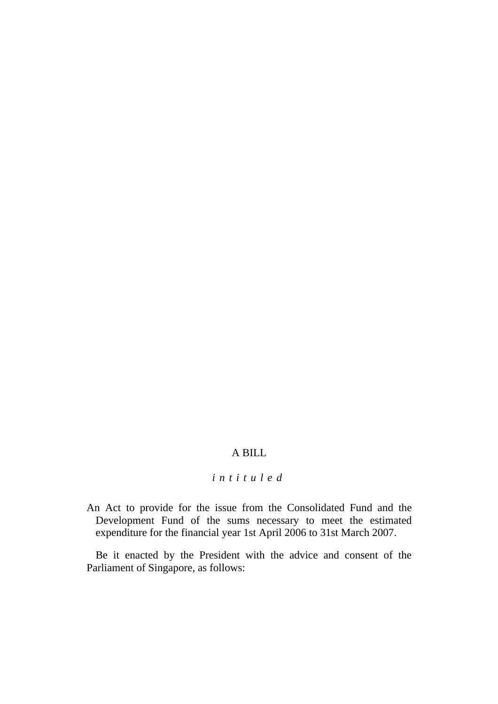### A BILL

### *intituled*

An Act to provide for the issue from the Consolidated Fund and the Development Fund of the sums necessary to meet the estimated expenditure for the financial year 1st April 2006 to 31st March 2007.

Be it enacted by the President with the advice and consent of the Parliament of Singapore, as follows: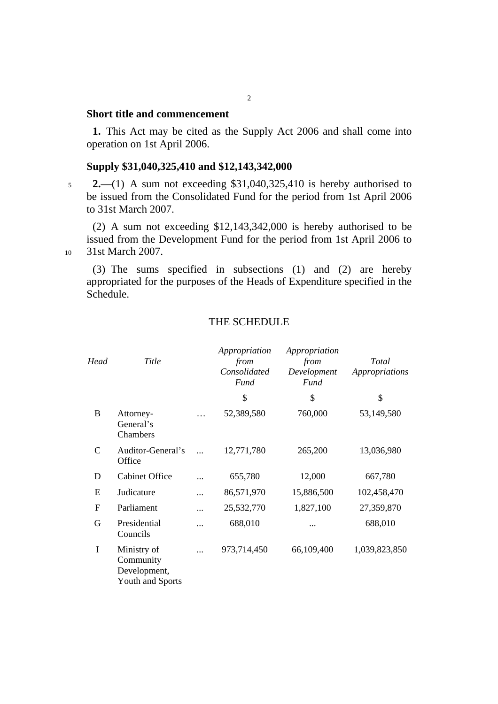### **Short title and commencement**

**1.** This Act may be cited as the Supply Act 2006 and shall come into operation on 1st April 2006.

#### **Supply \$31,040,325,410 and \$12,143,342,000**

<sup>5</sup>**2.**—(1) A sum not exceeding \$31,040,325,410 is hereby authorised to be issued from the Consolidated Fund for the period from 1st April 2006 to 31st March 2007.

(2) A sum not exceeding \$12,143,342,000 is hereby authorised to be issued from the Development Fund for the period from 1st April 2006 to 10 31st March 2007.

(3) The sums specified in subsections (1) and (2) are hereby appropriated for the purposes of the Heads of Expenditure specified in the Schedule.

#### THE SCHEDULE

| Head        | Title                                                        |           | Appropriation<br>from<br>Consolidated<br>Fund | Appropriation<br>from<br>Development<br>Fund | Total<br>Appropriations |
|-------------|--------------------------------------------------------------|-----------|-----------------------------------------------|----------------------------------------------|-------------------------|
|             |                                                              |           | \$                                            | \$                                           | \$                      |
| B           | Attorney-<br>General's<br>Chambers                           | .         | 52,389,580                                    | 760,000                                      | 53,149,580              |
| $\mathbf C$ | Auditor-General's<br>Office                                  | $\ddotsc$ | 12,771,780                                    | 265,200                                      | 13,036,980              |
| D           | <b>Cabinet Office</b>                                        |           | 655,780                                       | 12,000                                       | 667,780                 |
| E           | Judicature                                                   | .         | 86,571,970                                    | 15,886,500                                   | 102,458,470             |
| $\mathbf F$ | Parliament                                                   |           | 25,532,770                                    | 1,827,100                                    | 27,359,870              |
| G           | Presidential<br>Councils                                     |           | 688,010                                       |                                              | 688,010                 |
| I           | Ministry of<br>Community<br>Development,<br>Youth and Sports |           | 973,714,450                                   | 66,109,400                                   | 1,039,823,850           |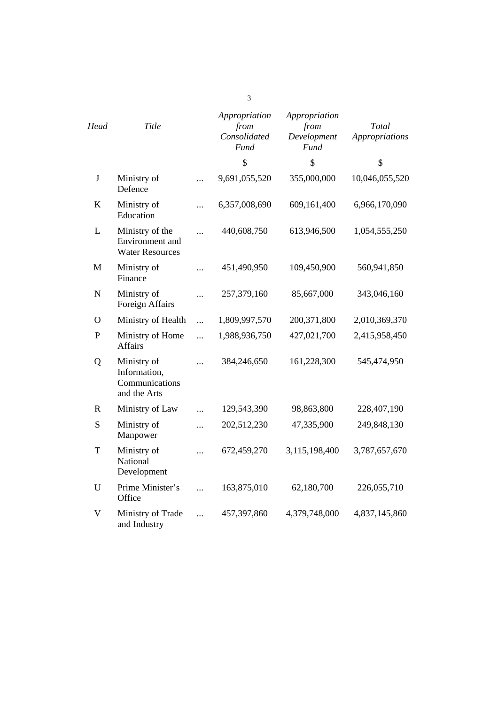| Head           | Title                                                         |           | Appropriation<br>from<br>Consolidated<br><b>Fund</b> | Appropriation<br>from<br>Development<br><b>Fund</b> | Total<br><b>Appropriations</b> |
|----------------|---------------------------------------------------------------|-----------|------------------------------------------------------|-----------------------------------------------------|--------------------------------|
|                |                                                               |           | \$                                                   | \$                                                  | \$                             |
| $\bf J$        | Ministry of<br>Defence                                        |           | 9,691,055,520                                        | 355,000,000                                         | 10,046,055,520                 |
| $\bf K$        | Ministry of<br>Education                                      | $\cdots$  | 6,357,008,690                                        | 609,161,400                                         | 6,966,170,090                  |
| L              | Ministry of the<br>Environment and<br><b>Water Resources</b>  |           | 440,608,750                                          | 613,946,500                                         | 1,054,555,250                  |
| $\mathbf{M}$   | Ministry of<br>Finance                                        | $\cdots$  | 451,490,950                                          | 109,450,900                                         | 560,941,850                    |
| $\mathbf N$    | Ministry of<br>Foreign Affairs                                |           | 257,379,160                                          | 85,667,000                                          | 343,046,160                    |
| $\overline{O}$ | Ministry of Health                                            | $\cdots$  | 1,809,997,570                                        | 200,371,800                                         | 2,010,369,370                  |
| $\mathbf P$    | Ministry of Home<br><b>Affairs</b>                            | $\ddotsc$ | 1,988,936,750                                        | 427,021,700                                         | 2,415,958,450                  |
| Q              | Ministry of<br>Information,<br>Communications<br>and the Arts |           | 384,246,650                                          | 161,228,300                                         | 545,474,950                    |
| $\mathbf R$    | Ministry of Law                                               |           | 129,543,390                                          | 98,863,800                                          | 228,407,190                    |
| S              | Ministry of<br>Manpower                                       | .         | 202,512,230                                          | 47,335,900                                          | 249,848,130                    |
| T              | Ministry of<br>National<br>Development                        |           | 672,459,270                                          | 3,115,198,400                                       | 3,787,657,670                  |
| U              | Prime Minister's<br>Office                                    | $\ddotsc$ | 163,875,010                                          | 62,180,700                                          | 226,055,710                    |
| $\mathbf V$    | Ministry of Trade<br>and Industry                             |           | 457,397,860                                          | 4,379,748,000                                       | 4,837,145,860                  |

3